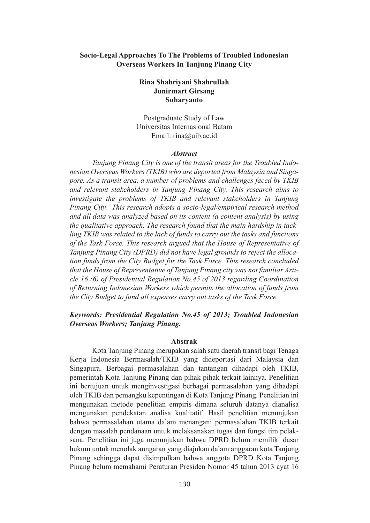## **Socio-Legal Approaches To The Problems of Troubled Indonesian Overseas Workers In Tanjung Pinang City**

# **Rina Shahriyani Shahrullah Junirmart Girsang Suharyanto**

Postgraduate Study of Law Universitas Internasional Batam Email: rina@uib.ac.id

#### *Abstract*

 *Tanjung Pinang City is one of the transit areas for the Troubled Indonesian Overseas Workers (TKIB) who are deported from Malaysia and Singapore. As a transit area, a number of problems and challenges faced by TKIB and relevant stakeholders in Tanjung Pinang City. This research aims to investigate the problems of TKIB and relevant stakeholders in Tanjung Pinang City. This research adopts a socio-legal/empirical research method and all data was analyzed based on its content (a content analysis) by using the qualitative approach. The research found that the main hardship in tackling TKIB was related to the lack of funds to carry out the tasks and functions of the Task Force. This research argued that the House of Representative of Tanjung Pinang City (DPRD) did not have legal grounds to reject the allocation funds from the City Budget for the Task Force. This research concluded that the House of Representative of Tanjung Pinang city was not familiar Article 16 (6) of Presidential Regulation No.45 of 2013 regarding Coordination of Returning Indonesian Workers which permits the allocation of funds from the City Budget to fund all expenses carry out tasks of the Task Force.*

# *Keywords: Presidential Regulation No.45 of 2013; Troubled Indonesian Overseas Workers; Tanjung Pinang.*

#### **Abstrak**

 Kota Tanjung Pinang merupakan salah satu daerah transit bagi Tenaga Kerja Indonesia Bermasalah/TKIB yang dideportasi dari Malaysia dan Singapura. Berbagai permasalahan dan tantangan dihadapi oleh TKIB, pemerintah Kota Tanjung Pinang dan pihak pihak terkait lainnya. Penelitian ini bertujuan untuk menginvestigasi berbagai permasalahan yang dihadapi oleh TKIB dan pemangku kepentingan di Kota Tanjung Pinang. Penelitian ini mengunakan metode penelitian empiris dimana seluruh datanya dianalisa mengunakan pendekatan analisa kualitatif. Hasil penelitian menunjukan bahwa permasalahan utama dalam menangani permasalahan TKIB terkait dengan masalah pendanaan untuk melaksanakan tugas dan fungsi tim pelaksana. Penelitian ini juga menunjukan bahwa DPRD belum memiliki dasar hukum untuk menolak anngaran yang diajukan dalam anggaran kota Tanjung Pinang sehingga dapat disimpulkan bahwa anggota DPRD Kota Tanjung Pinang belum memahami Peraturan Presiden Nomor 45 tahun 2013 ayat 16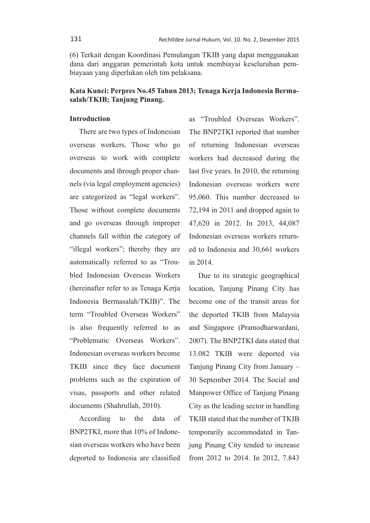(6) Terkait dengan Koordinasi Pemulangan TKIB yang dapat menggunakan dana dari anggaran pemerintah kota untuk membiayai keseluruhan pembiayaan yang diperlukan oleh tim pelaksana.

# **Kata Kunci: Perpres No.45 Tahun 2013; Tenaga Kerja Indonesia Bermasalah/TKIB; Tanjung Pinang.**

## **Introduction**

There are two types of Indonesian overseas workers. Those who go overseas to work with complete documents and through proper channels (via legal employment agencies) are categorized as "legal workers". Those without complete documents and go overseas through improper channels fall within the category of "illegal workers"; thereby they are automatically referred to as "Troubled Indonesian Overseas Workers (hereinafter refer to as Tenaga Kerja Indonesia Bermasalah/TKIB)". The term "Troubled Overseas Workers" is also frequently referred to as "Problematic Overseas Workers". Indonesian overseas workers become TKIB since they face document problems such as the expiration of visas, passports and other related documents (Shahrullah, 2010).

According to the data of BNP2TKI, more that 10% of Indonesian overseas workers who have been deported to Indonesia are classified as "Troubled Overseas Workers". The BNP2TKI reported that number of returning Indonesian overseas workers had decreased during the last five years. In 2010, the returning Indonesian overseas workers were 95,060. This number decreased to 72,194 in 2011 and dropped again to 47,620 in 2012. In 2013, 44,087 Indonesian overseas workers returned to Indonesia and 30,661 workers in 2014.

Due to its strategic geographical location, Tanjung Pinang City has become one of the transit areas for the deported TKIB from Malaysia and Singapore (Pramodharwardani, 2007). The BNP2TKI data stated that 13.082 TKIB were deported via Tanjung Pinang City from January – 30 September 2014. The Social and Manpower Office of Tanjung Pinang City as the leading sector in handling TKIB stated that the number of TKIB temporarily accommodated in Tanjung Pinang City tended to increase from 2012 to 2014. In 2012, 7.843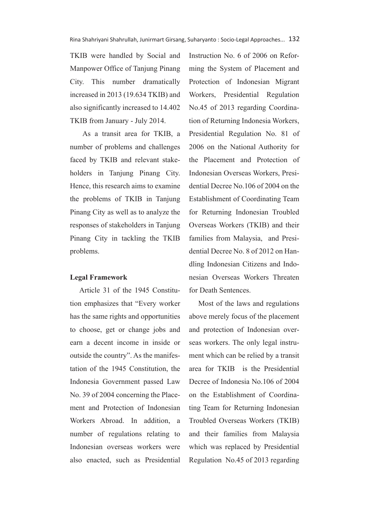TKIB were handled by Social and Manpower Office of Tanjung Pinang City. This number dramatically increased in 2013 (19.634 TKIB) and also significantly increased to 14.402 TKIB from January - July 2014.

 As a transit area for TKIB, a number of problems and challenges faced by TKIB and relevant stakeholders in Tanjung Pinang City. Hence, this research aims to examine the problems of TKIB in Tanjung Pinang City as well as to analyze the responses of stakeholders in Tanjung Pinang City in tackling the TKIB problems.

### **Legal Framework**

Article 31 of the 1945 Constitution emphasizes that "Every worker has the same rights and opportunities to choose, get or change jobs and earn a decent income in inside or outside the country". As the manifestation of the 1945 Constitution, the Indonesia Government passed Law No. 39 of 2004 concerning the Placement and Protection of Indonesian Workers Abroad. In addition, a number of regulations relating to Indonesian overseas workers were also enacted, such as Presidential

Instruction No. 6 of 2006 on Reforming the System of Placement and Protection of Indonesian Migrant Workers, Presidential Regulation No.45 of 2013 regarding Coordination of Returning Indonesia Workers, Presidential Regulation No. 81 of 2006 on the National Authority for the Placement and Protection of Indonesian Overseas Workers, Presidential Decree No.106 of 2004 on the Establishment of Coordinating Team for Returning Indonesian Troubled Overseas Workers (TKIB) and their families from Malaysia, and Presidential Decree No. 8 of 2012 on Handling Indonesian Citizens and Indonesian Overseas Workers Threaten for Death Sentences.

Most of the laws and regulations above merely focus of the placement and protection of Indonesian overseas workers. The only legal instrument which can be relied by a transit area for TKIB is the Presidential Decree of Indonesia No.106 of 2004 on the Establishment of Coordinating Team for Returning Indonesian Troubled Overseas Workers (TKIB) and their families from Malaysia which was replaced by Presidential Regulation No.45 of 2013 regarding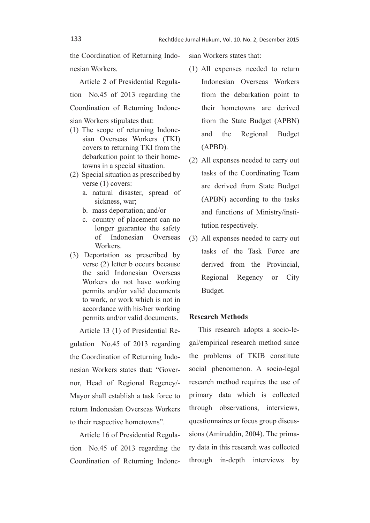the Coordination of Returning Indonesian Workers.

Article 2 of Presidential Regulation No.45 of 2013 regarding the Coordination of Returning Indonesian Workers stipulates that:

- (1) The scope of returning Indonesian Overseas Workers (TKI) covers to returning TKI from the debarkation point to their hometowns in a special situation.
- (2) Special situation as prescribed by verse (1) covers:
	- a. natural disaster, spread of sickness, war;
	- b. mass deportation; and/or
	- c. country of placement can no longer guarantee the safety of Indonesian Overseas Workers.
- (3) Deportation as prescribed by verse (2) letter b occurs because the said Indonesian Overseas Workers do not have working permits and/or valid documents to work, or work which is not in accordance with his/her working permits and/or valid documents.

Article 13 (1) of Presidential Regulation No.45 of 2013 regarding the Coordination of Returning Indonesian Workers states that: "Governor, Head of Regional Regency/- Mayor shall establish a task force to return Indonesian Overseas Workers to their respective hometowns".

Article 16 of Presidential Regulation No.45 of 2013 regarding the Coordination of Returning Indonesian Workers states that:

- (1) All expenses needed to return Indonesian Overseas Workers from the debarkation point to their hometowns are derived from the State Budget (APBN) and the Regional Budget (APBD).
- (2) All expenses needed to carry out tasks of the Coordinating Team are derived from State Budget (APBN) according to the tasks and functions of Ministry/institution respectively.
- (3) All expenses needed to carry out tasks of the Task Force are derived from the Provincial, Regional Regency or City Budget.

### **Research Methods**

This research adopts a socio-legal/empirical research method since the problems of TKIB constitute social phenomenon. A socio-legal research method requires the use of primary data which is collected through observations, interviews, questionnaires or focus group discussions (Amiruddin, 2004). The primary data in this research was collected through in-depth interviews by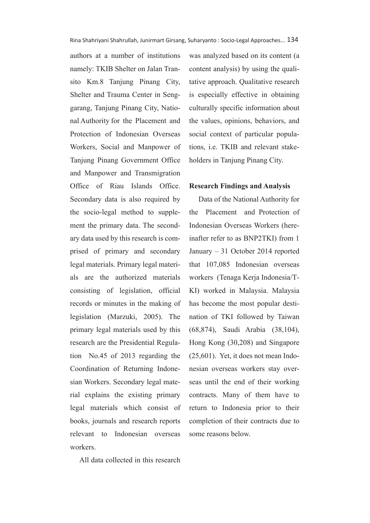authors at a number of institutions namely: TKIB Shelter on Jalan Transito Km.8 Tanjung Pinang City, Shelter and Trauma Center in Senggarang, Tanjung Pinang City, National Authority for the Placement and Protection of Indonesian Overseas Workers, Social and Manpower of Tanjung Pinang Government Office and Manpower and Transmigration Office of Riau Islands Office. Secondary data is also required by the socio-legal method to supplement the primary data. The secondary data used by this research is comprised of primary and secondary legal materials. Primary legal materials are the authorized materials consisting of legislation, official records or minutes in the making of legislation (Marzuki, 2005). The primary legal materials used by this research are the Presidential Regulation No.45 of 2013 regarding the Coordination of Returning Indonesian Workers. Secondary legal material explains the existing primary legal materials which consist of books, journals and research reports relevant to Indonesian overseas workers.

All data collected in this research

was analyzed based on its content (a content analysis) by using the qualitative approach. Qualitative research is especially effective in obtaining culturally specific information about the values, opinions, behaviors, and social context of particular populations, i.e. TKIB and relevant stakeholders in Tanjung Pinang City.

#### **Research Findings and Analysis**

Data of the National Authority for the Placement and Protection of Indonesian Overseas Workers (hereinafter refer to as BNP2TKI) from 1 January – 31 October 2014 reported that 107,085 Indonesian overseas workers (Tenaga Kerja Indonesia/T-KI) worked in Malaysia. Malaysia has become the most popular destination of TKI followed by Taiwan (68,874), Saudi Arabia (38,104), Hong Kong (30,208) and Singapore (25,601). Yet, it does not mean Indonesian overseas workers stay overseas until the end of their working contracts. Many of them have to return to Indonesia prior to their completion of their contracts due to some reasons below.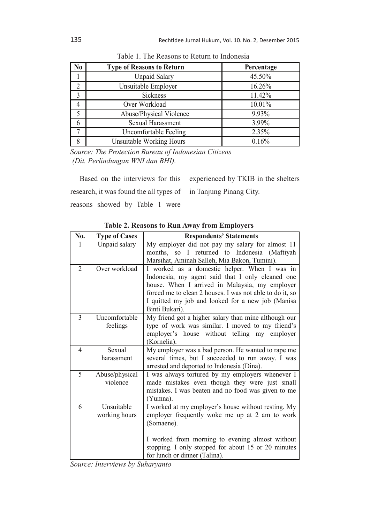| N <sub>0</sub> | <b>Type of Reasons to Return</b> | Percentage |
|----------------|----------------------------------|------------|
|                | <b>Unpaid Salary</b>             | 45.50%     |
| C              | Unsuitable Employer              | 16.26%     |
| 3              | <b>Sickness</b>                  | 11.42%     |
| 4              | Over Workload                    | 10.01%     |
|                | Abuse/Physical Violence          | 9.93%      |
| 6              | Sexual Harassment                | 3.99%      |
| 7              | Uncomfortable Feeling            | 2.35%      |
| 8              | <b>Unsuitable Working Hours</b>  | 0.16%      |

Table 1. The Reasons to Return to Indonesia

*Source: The Protection Bureau of Indonesian Citizens (Dit. Perlindungan WNI dan BHI).*

Based on the interviews for this research, it was found the all types of reasons showed by Table 1 were experienced by TKIB in the shelters in Tanjung Pinang City.

| No.            | <b>Type of Cases</b>       | <b>Respondents' Statements</b>                                 |
|----------------|----------------------------|----------------------------------------------------------------|
| 1              | Unpaid salary              | My employer did not pay my salary for almost 11                |
|                |                            | months, so I returned to Indonesia (Maftiyah                   |
|                |                            | Marsihat, Aminah Salleh, Mia Bakon, Tumini).                   |
| $\overline{2}$ | Over workload              | I worked as a domestic helper. When I was in                   |
|                |                            | Indonesia, my agent said that I only cleaned one               |
|                |                            | house. When I arrived in Malaysia, my employer                 |
|                |                            | forced me to clean 2 houses. I was not able to do it, so       |
|                |                            | I quitted my job and looked for a new job (Manisa              |
|                |                            | Binti Bukari).                                                 |
| $\overline{3}$ | Uncomfortable              | My friend got a higher salary than mine although our           |
|                | feelings                   | type of work was similar. I moved to my friend's               |
|                |                            | employer's house without telling my employer                   |
|                |                            | (Kornelia).                                                    |
| $\overline{4}$ | Sexual                     | My employer was a bad person. He wanted to rape me             |
|                | harassment                 | several times, but I succeeded to run away. I was              |
| 5              |                            | arrested and deported to Indonesia (Dina).                     |
|                | Abuse/physical<br>violence | I was always tortured by my employers whenever I               |
|                |                            | made mistakes even though they were just small                 |
|                |                            | mistakes. I was beaten and no food was given to me<br>(Yumna). |
| 6              | Unsuitable                 | I worked at my employer's house without resting. My            |
|                | working hours              | employer frequently woke me up at 2 am to work                 |
|                |                            | (Somaene).                                                     |
|                |                            |                                                                |
|                |                            | I worked from morning to evening almost without                |
|                |                            | stopping. I only stopped for about 15 or 20 minutes            |
|                |                            | for lunch or dinner (Talina).                                  |

**Table 2. Reasons to Run Away from Employers**

*Source: Interviews by Suharyanto*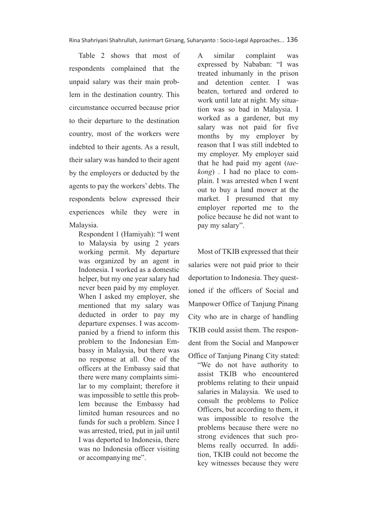Table 2 shows that most of respondents complained that the unpaid salary was their main problem in the destination country. This circumstance occurred because prior to their departure to the destination country, most of the workers were indebted to their agents. As a result, their salary was handed to their agent by the employers or deducted by the agents to pay the workers' debts. The respondents below expressed their experiences while they were in Malaysia.

Respondent 1 (Hamiyah): "I went to Malaysia by using 2 years working permit. My departure was organized by an agent in Indonesia. I worked as a domestic helper, but my one year salary had never been paid by my employer. When I asked my employer, she mentioned that my salary was deducted in order to pay my departure expenses. I was accompanied by a friend to inform this problem to the Indonesian Embassy in Malaysia, but there was no response at all. One of the officers at the Embassy said that there were many complaints similar to my complaint; therefore it was impossible to settle this problem because the Embassy had limited human resources and no funds for such a problem. Since I was arrested, tried, put in jail until I was deported to Indonesia, there was no Indonesia officer visiting or accompanying me".

A similar complaint was expressed by Nababan: "I was treated inhumanly in the prison and detention center. I was beaten, tortured and ordered to work until late at night. My situation was so bad in Malaysia. I worked as a gardener, but my salary was not paid for five months by my employer by reason that I was still indebted to my employer. My employer said that he had paid my agent (*taekong*) . I had no place to complain. I was arrested when I went out to buy a land mower at the market. I presumed that my employer reported me to the police because he did not want to pay my salary".

Most of TKIB expressed that their salaries were not paid prior to their deportation to Indonesia. They questioned if the officers of Social and Manpower Office of Tanjung Pinang City who are in charge of handling TKIB could assist them. The respondent from the Social and Manpower

Office of Tanjung Pinang City stated: "We do not have authority to assist TKIB who encountered problems relating to their unpaid salaries in Malaysia. We used to consult the problems to Police Officers, but according to them, it was impossible to resolve the problems because there were no strong evidences that such problems really occurred. In addition, TKIB could not become the key witnesses because they were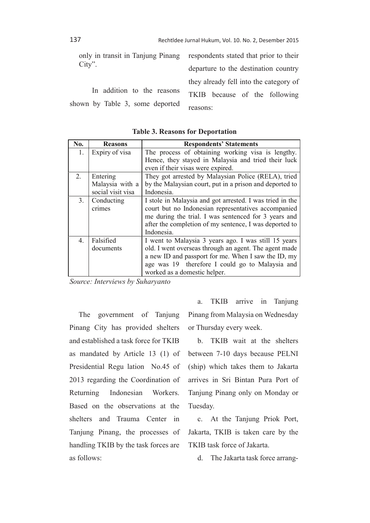only in transit in Tanjung Pinang City".

 In addition to the reasons shown by Table 3, some deported respondents stated that prior to their departure to the destination country they already fell into the category of TKIB because of the following reasons:

| No. | <b>Reasons</b>    | <b>Respondents' Statements</b>                           |  |
|-----|-------------------|----------------------------------------------------------|--|
| 1.  | Expiry of visa    | The process of obtaining working visa is lengthy.        |  |
|     |                   | Hence, they stayed in Malaysia and tried their luck      |  |
|     |                   | even if their visas were expired.                        |  |
| 2.  | Entering          | They got arrested by Malaysian Police (RELA), tried      |  |
|     | Malaysia with a   | by the Malaysian court, put in a prison and deported to  |  |
|     | social visit visa | Indonesia.                                               |  |
| 3.  | Conducting        | I stole in Malaysia and got arrested. I was tried in the |  |
|     | crimes            | court but no Indonesian representatives accompanied      |  |
|     |                   | me during the trial. I was sentenced for 3 years and     |  |
|     |                   | after the completion of my sentence, I was deported to   |  |
|     |                   | Indonesia.                                               |  |
| 4   | Falsified         | I went to Malaysia 3 years ago. I was still 15 years     |  |
|     | documents         | old. I went overseas through an agent. The agent made    |  |
|     |                   | a new ID and passport for me. When I saw the ID, my      |  |
|     |                   | age was 19 therefore I could go to Malaysia and          |  |
|     |                   | worked as a domestic helper.                             |  |

**Table 3. Reasons for Deportation**

*Source: Interviews by Suharyanto*

The government of Tanjung Pinang City has provided shelters and established a task force for TKIB as mandated by Article 13 (1) of Presidential Regu lation No.45 of 2013 regarding the Coordination of Returning Indonesian Workers. Based on the observations at the shelters and Trauma Center in Tanjung Pinang, the processes of handling TKIB by the task forces are as follows:

a. TKIB arrive in Tanjung Pinang from Malaysia on Wednesday or Thursday every week.

b. TKIB wait at the shelters between 7-10 days because PELNI (ship) which takes them to Jakarta arrives in Sri Bintan Pura Port of Tanjung Pinang only on Monday or Tuesday.

c. At the Tanjung Priok Port, Jakarta, TKIB is taken care by the TKIB task force of Jakarta.

d. The Jakarta task force arrang-

137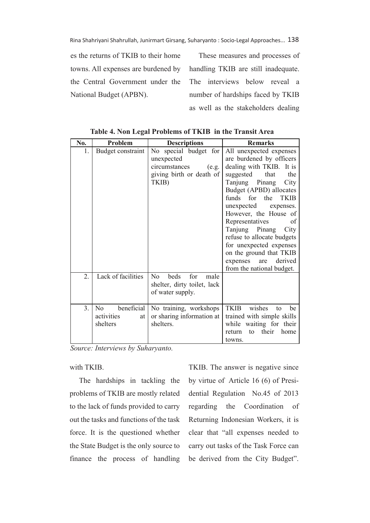Rina Shahriyani Shahrullah, Junirmart Girsang, Suharyanto : Socio-Legal Approaches... 138

es the returns of TKIB to their home towns. All expenses are burdened by the Central Government under the National Budget (APBN).

These measures and processes of handling TKIB are still inadequate. The interviews below reveal a number of hardships faced by TKIB as well as the stakeholders dealing

| No.              | Problem                                           | <b>Descriptions</b>                                                                       | <b>Remarks</b>                                                                                                                                                                                                                                                                                                                          |
|------------------|---------------------------------------------------|-------------------------------------------------------------------------------------------|-----------------------------------------------------------------------------------------------------------------------------------------------------------------------------------------------------------------------------------------------------------------------------------------------------------------------------------------|
| 1.               | Budget constraint                                 | No special budget for<br>unexpected<br>circumstances<br>(e.g.<br>giving birth or death of | All unexpected expenses<br>are burdened by officers<br>dealing with TKIB. It is<br>suggested<br>that<br>the                                                                                                                                                                                                                             |
|                  |                                                   | TKIB)                                                                                     | Tanjung Pinang<br>City<br>Budget (APBD) allocates<br>funds for the<br><b>TKIB</b><br>unexpected<br>expenses.<br>However, the House of<br>Representatives<br>of<br>Tanjung Pinang<br>City<br>refuse to allocate budgets<br>for unexpected expenses<br>on the ground that TKIB<br>derived<br>expenses<br>are<br>from the national budget. |
| $\overline{2}$ . | Lack of facilities                                | beds<br>for<br>N <sub>0</sub><br>male<br>shelter, dirty toilet, lack<br>of water supply.  |                                                                                                                                                                                                                                                                                                                                         |
| 3 <sub>1</sub>   | beneficial<br>No.<br>activities<br>at<br>shelters | No training, workshops<br>or sharing information at<br>shelters.                          | wishes<br><b>TKIB</b><br>be<br>to<br>trained with simple skills<br>while waiting for their<br>their<br>home<br>to<br>return<br>towns.                                                                                                                                                                                                   |

**Table 4. Non Legal Problems of TKIB in the Transit Area**

*Source: Interviews by Suharyanto.*

with TKIB.

The hardships in tackling the problems of TKIB are mostly related to the lack of funds provided to carry out the tasks and functions of the task force. It is the questioned whether the State Budget is the only source to finance the process of handling TKIB. The answer is negative since by virtue of Article 16 (6) of Presidential Regulation No.45 of 2013 regarding the Coordination of Returning Indonesian Workers, it is clear that "all expenses needed to carry out tasks of the Task Force can be derived from the City Budget".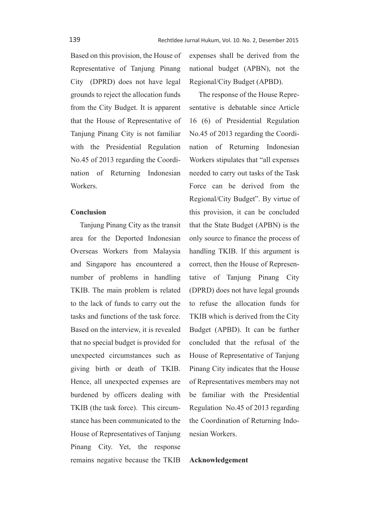Based on this provision, the House of Representative of Tanjung Pinang City (DPRD) does not have legal grounds to reject the allocation funds from the City Budget. It is apparent that the House of Representative of Tanjung Pinang City is not familiar with the Presidential Regulation No.45 of 2013 regarding the Coordination of Returning Indonesian Workers.

### **Conclusion**

Tanjung Pinang City as the transit area for the Deported Indonesian Overseas Workers from Malaysia and Singapore has encountered a number of problems in handling TKIB. The main problem is related to the lack of funds to carry out the tasks and functions of the task force. Based on the interview, it is revealed that no special budget is provided for unexpected circumstances such as giving birth or death of TKIB. Hence, all unexpected expenses are burdened by officers dealing with TKIB (the task force). This circumstance has been communicated to the House of Representatives of Tanjung Pinang City. Yet, the response remains negative because the TKIB expenses shall be derived from the national budget (APBN), not the Regional/City Budget (APBD).

The response of the House Representative is debatable since Article 16 (6) of Presidential Regulation No.45 of 2013 regarding the Coordination of Returning Indonesian Workers stipulates that "all expenses needed to carry out tasks of the Task Force can be derived from the Regional/City Budget". By virtue of this provision, it can be concluded that the State Budget (APBN) is the only source to finance the process of handling TKIB. If this argument is correct, then the House of Representative of Tanjung Pinang City (DPRD) does not have legal grounds to refuse the allocation funds for TKIB which is derived from the City Budget (APBD). It can be further concluded that the refusal of the House of Representative of Tanjung Pinang City indicates that the House of Representatives members may not be familiar with the Presidential Regulation No.45 of 2013 regarding the Coordination of Returning Indonesian Workers.

#### **Acknowledgement**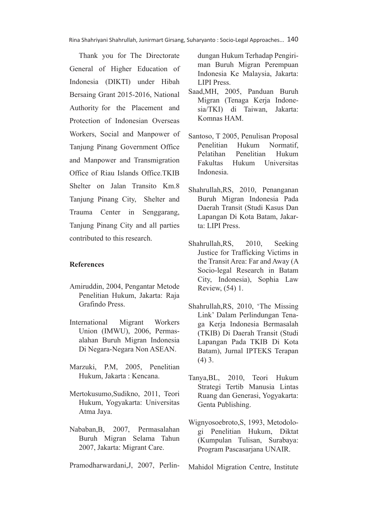Thank you for The Directorate General of Higher Education of Indonesia (DIKTI) under Hibah Bersaing Grant 2015-2016, National Authority for the Placement and Protection of Indonesian Overseas Workers, Social and Manpower of Tanjung Pinang Government Office and Manpower and Transmigration Office of Riau Islands Office.TKIB Shelter on Jalan Transito Km.8 Tanjung Pinang City, Shelter and Trauma Center in Senggarang, Tanjung Pinang City and all parties contributed to this research.

### **References**

- Amiruddin, 2004, Pengantar Metode Penelitian Hukum, Jakarta: Raja Grafindo Press.
- International Migrant Workers Union (IMWU), 2006, Permasalahan Buruh Migran Indonesia Di Negara-Negara Non ASEAN.
- Marzuki, P.M, 2005, Penelitian Hukum, Jakarta : Kencana.
- Mertokusumo,Sudikno, 2011, Teori Hukum, Yogyakarta: Universitas Atma Jaya.
- Nababan,B, 2007, Permasalahan Buruh Migran Selama Tahun 2007, Jakarta: Migrant Care.
- Pramodharwardani,J, 2007, Perlin-

dungan Hukum Terhadap Pengiriman Buruh Migran Perempuan Indonesia Ke Malaysia, Jakarta: LIPI Press.

- Saad,MH, 2005, Panduan Buruh Migran (Tenaga Kerja Indonesia/TKI) di Taiwan, Jakarta: Komnas HAM.
- Santoso, T 2005, Penulisan Proposal Penelitian Hukum Normatif, Pelatihan Penelitian Hukum Fakultas Hukum Universitas Indonesia.
- Shahrullah,RS, 2010, Penanganan Buruh Migran Indonesia Pada Daerah Transit (Studi Kasus Dan Lapangan Di Kota Batam, Jakarta: LIPI Press.
- Shahrullah,RS, 2010, Seeking Justice for Trafficking Victims in the Transit Area: Far and Away (A Socio-legal Research in Batam City, Indonesia), Sophia Law Review, (54) 1.
- Shahrullah,RS, 2010, 'The Missing Link' Dalam Perlindungan Tenaga Kerja Indonesia Bermasalah (TKIB) Di Daerah Transit (Studi Lapangan Pada TKIB Di Kota Batam), Jurnal IPTEKS Terapan (4) 3.
- Tanya,BL, 2010, Teori Hukum Strategi Tertib Manusia Lintas Ruang dan Generasi, Yogyakarta: Genta Publishing.
- Wignyosoebroto,S, 1993, Metodologi Penelitian Hukum, Diktat (Kumpulan Tulisan, Surabaya: Program Pascasarjana UNAIR.

Mahidol Migration Centre, Institute